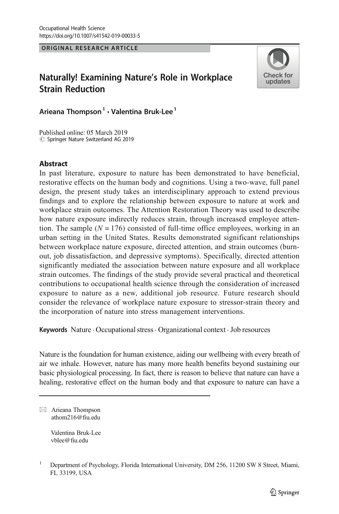ORIGINAL RESEARCH ARTICLE

# Naturally! Examining Nature's Role in Workplace Strain Reduction



Arieana Thompson<sup>1</sup> · Valentina Bruk-Lee<sup>1</sup>

Published online: 05 March 2019  $\circled{c}$  Springer Nature Switzerland AG 2019

# Abstract

In past literature, exposure to nature has been demonstrated to have beneficial, restorative effects on the human body and cognitions. Using a two-wave, full panel design, the present study takes an interdisciplinary approach to extend previous findings and to explore the relationship between exposure to nature at work and workplace strain outcomes. The Attention Restoration Theory was used to describe how nature exposure indirectly reduces strain, through increased employee attention. The sample  $(N = 176)$  consisted of full-time office employees, working in an urban setting in the United States. Results demonstrated significant relationships between workplace nature exposure, directed attention, and strain outcomes (burnout, job dissatisfaction, and depressive symptoms). Specifically, directed attention significantly mediated the association between nature exposure and all workplace strain outcomes. The findings of the study provide several practical and theoretical contributions to occupational health science through the consideration of increased exposure to nature as a new, additional job resource. Future research should consider the relevance of workplace nature exposure to stressor-strain theory and the incorporation of nature into stress management interventions.

Keywords Nature · Occupational stress · Organizational context · Job resources

Nature is the foundation for human existence, aiding our wellbeing with every breath of air we inhale. However, nature has many more health benefits beyond sustaining our basic physiological processing. In fact, there is reason to believe that nature can have a healing, restorative effect on the human body and that exposure to nature can have a

 $\boxtimes$  Arieana Thompson [athom216@fiu.edu](mailto:athom216@fiu.edu)

> Valentina Bruk-Lee vblee@fiu.edu

<sup>1</sup> Department of Psychology, Florida International University, DM 256, 11200 SW 8 Street, Miami, FL 33199, USA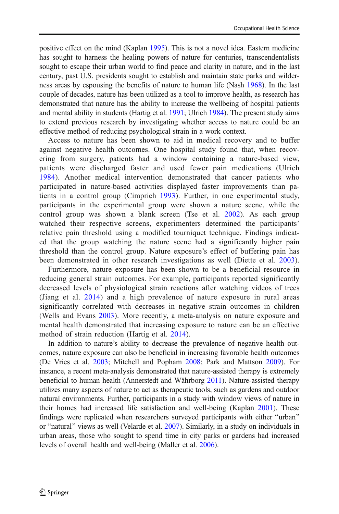positive effect on the mind (Kaplan [1995\)](#page-19-0). This is not a novel idea. Eastern medicine has sought to harness the healing powers of nature for centuries, transcendentalists sought to escape their urban world to find peace and clarity in nature, and in the last century, past U.S. presidents sought to establish and maintain state parks and wilderness areas by espousing the benefits of nature to human life (Nash [1968\)](#page-19-0). In the last couple of decades, nature has been utilized as a tool to improve health, as research has demonstrated that nature has the ability to increase the wellbeing of hospital patients and mental ability in students (Hartig et al. [1991;](#page-18-0) Ulrich [1984](#page-20-0)). The present study aims to extend previous research by investigating whether access to nature could be an effective method of reducing psychological strain in a work context.

Access to nature has been shown to aid in medical recovery and to buffer against negative health outcomes. One hospital study found that, when recovering from surgery, patients had a window containing a nature-based view, patients were discharged faster and used fewer pain medications (Ulrich [1984\)](#page-20-0). Another medical intervention demonstrated that cancer patients who participated in nature-based activities displayed faster improvements than patients in a control group (Cimprich [1993\)](#page-18-0). Further, in one experimental study, participants in the experimental group were shown a nature scene, while the control group was shown a blank screen (Tse et al. [2002\)](#page-20-0). As each group watched their respective screens, experimenters determined the participants' relative pain threshold using a modified tourniquet technique. Findings indicated that the group watching the nature scene had a significantly higher pain threshold than the control group. Nature exposure's effect of buffering pain has been demonstrated in other research investigations as well (Diette et al. [2003\)](#page-18-0).

Furthermore, nature exposure has been shown to be a beneficial resource in reducing general strain outcomes. For example, participants reported significantly decreased levels of physiological strain reactions after watching videos of trees (Jiang et al. [2014](#page-19-0)) and a high prevalence of nature exposure in rural areas significantly correlated with decreases in negative strain outcomes in children (Wells and Evans [2003\)](#page-20-0). More recently, a meta-analysis on nature exposure and mental health demonstrated that increasing exposure to nature can be an effective method of strain reduction (Hartig et al. [2014](#page-18-0)).

In addition to nature's ability to decrease the prevalence of negative health outcomes, nature exposure can also be beneficial in increasing favorable health outcomes (De Vries et al. [2003](#page-18-0); Mitchell and Popham [2008](#page-19-0); Park and Mattson [2009\)](#page-20-0). For instance, a recent meta-analysis demonstrated that nature-assisted therapy is extremely beneficial to human health (Annerstedt and Währborg [2011\)](#page-17-0). Nature-assisted therapy utilizes many aspects of nature to act as therapeutic tools, such as gardens and outdoor natural environments. Further, participants in a study with window views of nature in their homes had increased life satisfaction and well-being (Kaplan [2001](#page-19-0)). These findings were replicated when researchers surveyed participants with either "urban" or "natural" views as well (Velarde et al. [2007\)](#page-20-0). Similarly, in a study on individuals in urban areas, those who sought to spend time in city parks or gardens had increased levels of overall health and well-being (Maller et al. [2006](#page-19-0)).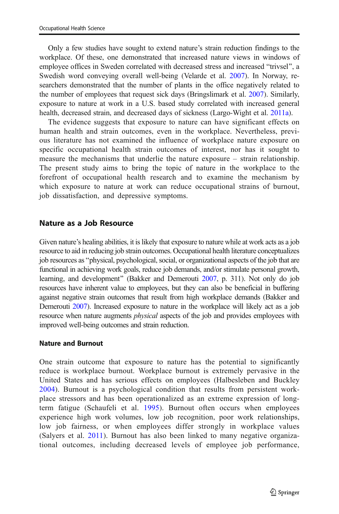Only a few studies have sought to extend nature's strain reduction findings to the workplace. Of these, one demonstrated that increased nature views in windows of employee offices in Sweden correlated with decreased stress and increased "trivsel", a Swedish word conveying overall well-being (Velarde et al. [2007](#page-20-0)). In Norway, researchers demonstrated that the number of plants in the office negatively related to the number of employees that request sick days (Bringslimark et al. [2007](#page-18-0)). Similarly, exposure to nature at work in a U.S. based study correlated with increased general health, decreased strain, and decreased days of sickness (Largo-Wight et al. [2011a](#page-19-0)).

The evidence suggests that exposure to nature can have significant effects on human health and strain outcomes, even in the workplace. Nevertheless, previous literature has not examined the influence of workplace nature exposure on specific occupational health strain outcomes of interest, nor has it sought to measure the mechanisms that underlie the nature exposure – strain relationship. The present study aims to bring the topic of nature in the workplace to the forefront of occupational health research and to examine the mechanism by which exposure to nature at work can reduce occupational strains of burnout, job dissatisfaction, and depressive symptoms.

# Nature as a Job Resource

Given nature's healing abilities, it is likely that exposure to nature while at work acts as a job resource to aid in reducing job strain outcomes. Occupational health literature conceptualizes job resources as "physical, psychological, social, or organizational aspects of the job that are functional in achieving work goals, reduce job demands, and/or stimulate personal growth, learning, and development" (Bakker and Demerouti [2007,](#page-17-0) p. 311). Not only do job resources have inherent value to employees, but they can also be beneficial in buffering against negative strain outcomes that result from high workplace demands (Bakker and Demerouti [2007\)](#page-17-0). Increased exposure to nature in the workplace will likely act as a job resource when nature augments *physical* aspects of the job and provides employees with improved well-being outcomes and strain reduction.

### Nature and Burnout

One strain outcome that exposure to nature has the potential to significantly reduce is workplace burnout. Workplace burnout is extremely pervasive in the United States and has serious effects on employees (Halbesleben and Buckley [2004](#page-18-0)). Burnout is a psychological condition that results from persistent workplace stressors and has been operationalized as an extreme expression of longterm fatigue (Schaufeli et al. [1995\)](#page-20-0). Burnout often occurs when employees experience high work volumes, low job recognition, poor work relationships, low job fairness, or when employees differ strongly in workplace values (Salyers et al. [2011](#page-20-0)). Burnout has also been linked to many negative organizational outcomes, including decreased levels of employee job performance,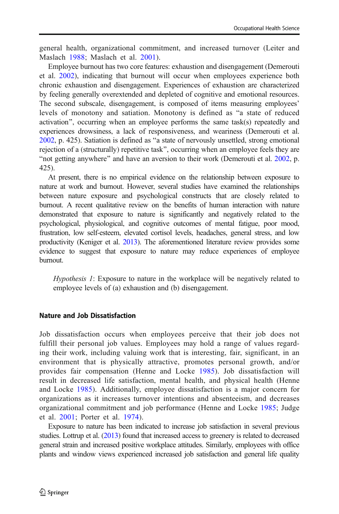general health, organizational commitment, and increased turnover (Leiter and Maslach [1988](#page-19-0); Maslach et al. [2001](#page-19-0)).

Employee burnout has two core features: exhaustion and disengagement (Demerouti et al. [2002](#page-18-0)), indicating that burnout will occur when employees experience both chronic exhaustion and disengagement. Experiences of exhaustion are characterized by feeling generally overextended and depleted of cognitive and emotional resources. The second subscale, disengagement, is composed of items measuring employees' levels of monotony and satiation. Monotony is defined as "a state of reduced activation", occurring when an employee performs the same task(s) repeatedly and experiences drowsiness, a lack of responsiveness, and weariness (Demerouti et al.  $2002$ , p. 425). Satiation is defined as "a state of nervously unsettled, strong emotional rejection of a (structurally) repetitive task", occurring when an employee feels they are "not getting anywhere" and have an aversion to their work (Demerouti et al.  $2002$ , p. 425).

At present, there is no empirical evidence on the relationship between exposure to nature at work and burnout. However, several studies have examined the relationships between nature exposure and psychological constructs that are closely related to burnout. A recent qualitative review on the benefits of human interaction with nature demonstrated that exposure to nature is significantly and negatively related to the psychological, physiological, and cognitive outcomes of mental fatigue, poor mood, frustration, low self-esteem, elevated cortisol levels, headaches, general stress, and low productivity (Keniger et al. [2013](#page-19-0)). The aforementioned literature review provides some evidence to suggest that exposure to nature may reduce experiences of employee burnout.

Hypothesis 1: Exposure to nature in the workplace will be negatively related to employee levels of (a) exhaustion and (b) disengagement.

#### Nature and Job Dissatisfaction

Job dissatisfaction occurs when employees perceive that their job does not fulfill their personal job values. Employees may hold a range of values regarding their work, including valuing work that is interesting, fair, significant, in an environment that is physically attractive, promotes personal growth, and/or provides fair compensation (Henne and Locke [1985\)](#page-19-0). Job dissatisfaction will result in decreased life satisfaction, mental health, and physical health (Henne and Locke [1985\)](#page-19-0). Additionally, employee dissatisfaction is a major concern for organizations as it increases turnover intentions and absenteeism, and decreases organizational commitment and job performance (Henne and Locke [1985](#page-19-0); Judge et al. [2001;](#page-19-0) Porter et al. [1974](#page-20-0)).

Exposure to nature has been indicated to increase job satisfaction in several previous studies. Lottrup et al. [\(2013](#page-19-0)) found that increased access to greenery is related to decreased general strain and increased positive workplace attitudes. Similarly, employees with office plants and window views experienced increased job satisfaction and general life quality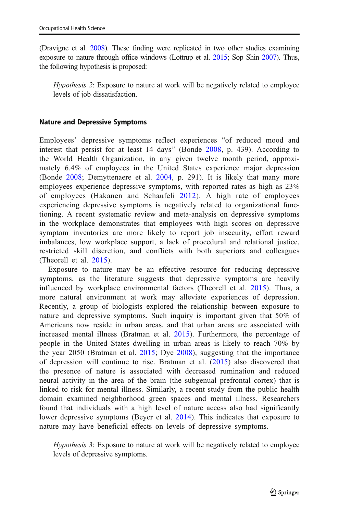(Dravigne et al. [2008\)](#page-18-0). These finding were replicated in two other studies examining exposure to nature through office windows (Lottrup et al. [2015;](#page-19-0) Sop Shin [2007](#page-20-0)). Thus, the following hypothesis is proposed:

Hypothesis 2: Exposure to nature at work will be negatively related to employee levels of job dissatisfaction.

#### Nature and Depressive Symptoms

Employees' depressive symptoms reflect experiences "of reduced mood and interest that persist for at least  $14$  days" (Bonde  $2008$ , p. 439). According to the World Health Organization, in any given twelve month period, approximately 6.4% of employees in the United States experience major depression (Bonde [2008](#page-18-0); Demyttenaere et al. [2004,](#page-18-0) p. 291). It is likely that many more employees experience depressive symptoms, with reported rates as high as 23% of employees (Hakanen and Schaufeli [2012](#page-18-0)). A high rate of employees experiencing depressive symptoms is negatively related to organizational functioning. A recent systematic review and meta-analysis on depressive symptoms in the workplace demonstrates that employees with high scores on depressive symptom inventories are more likely to report job insecurity, effort reward imbalances, low workplace support, a lack of procedural and relational justice, restricted skill discretion, and conflicts with both superiors and colleagues (Theorell et al. [2015](#page-20-0)).

Exposure to nature may be an effective resource for reducing depressive symptoms, as the literature suggests that depressive symptoms are heavily influenced by workplace environmental factors (Theorell et al. [2015\)](#page-20-0). Thus, a more natural environment at work may alleviate experiences of depression. Recently, a group of biologists explored the relationship between exposure to nature and depressive symptoms. Such inquiry is important given that 50% of Americans now reside in urban areas, and that urban areas are associated with increased mental illness (Bratman et al. [2015](#page-18-0)). Furthermore, the percentage of people in the United States dwelling in urban areas is likely to reach 70% by the year 2050 (Bratman et al. [2015](#page-18-0); Dye [2008\)](#page-18-0), suggesting that the importance of depression will continue to rise. Bratman et al. [\(2015\)](#page-18-0) also discovered that the presence of nature is associated with decreased rumination and reduced neural activity in the area of the brain (the subgenual prefrontal cortex) that is linked to risk for mental illness. Similarly, a recent study from the public health domain examined neighborhood green spaces and mental illness. Researchers found that individuals with a high level of nature access also had significantly lower depressive symptoms (Beyer et al. [2014](#page-17-0)). This indicates that exposure to nature may have beneficial effects on levels of depressive symptoms.

Hypothesis 3: Exposure to nature at work will be negatively related to employee levels of depressive symptoms.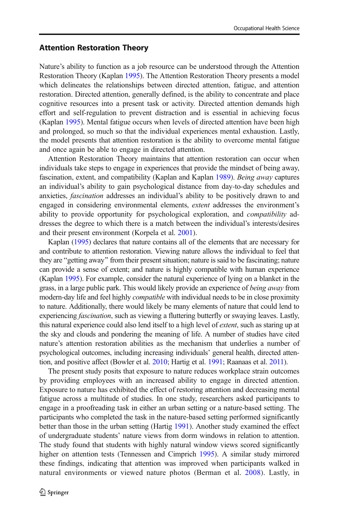#### Attention Restoration Theory

Nature's ability to function as a job resource can be understood through the Attention Restoration Theory (Kaplan [1995\)](#page-19-0). The Attention Restoration Theory presents a model which delineates the relationships between directed attention, fatigue, and attention restoration. Directed attention, generally defined, is the ability to concentrate and place cognitive resources into a present task or activity. Directed attention demands high effort and self-regulation to prevent distraction and is essential in achieving focus (Kaplan [1995](#page-19-0)). Mental fatigue occurs when levels of directed attention have been high and prolonged, so much so that the individual experiences mental exhaustion. Lastly, the model presents that attention restoration is the ability to overcome mental fatigue and once again be able to engage in directed attention.

Attention Restoration Theory maintains that attention restoration can occur when individuals take steps to engage in experiences that provide the mindset of being away, fascination, extent, and compatibility (Kaplan and Kaplan [1989](#page-19-0)). Being away captures an individual's ability to gain psychological distance from day-to-day schedules and anxieties, fascination addresses an individual's ability to be positively drawn to and engaged in considering environmental elements, extent addresses the environment's ability to provide opportunity for psychological exploration, and *compatibility* addresses the degree to which there is a match between the individual's interests/desires and their present environment (Korpela et al. [2001](#page-19-0)).

Kaplan ([1995\)](#page-19-0) declares that nature contains all of the elements that are necessary for and contribute to attention restoration. Viewing nature allows the individual to feel that they are "getting away" from their present situation; nature is said to be fascinating; nature can provide a sense of extent; and nature is highly compatible with human experience (Kaplan [1995](#page-19-0)). For example, consider the natural experience of lying on a blanket in the grass, in a large public park. This would likely provide an experience of *being away* from modern-day life and feel highly compatible with individual needs to be in close proximity to nature. Additionally, there would likely be many elements of nature that could lend to experiencing *fascination*, such as viewing a fluttering butterfly or swaying leaves. Lastly, this natural experience could also lend itself to a high level of *extent*, such as staring up at the sky and clouds and pondering the meaning of life. A number of studies have cited nature's attention restoration abilities as the mechanism that underlies a number of psychological outcomes, including increasing individuals' general health, directed attention, and positive affect (Bowler et al. [2010;](#page-18-0) Hartig et al. [1991;](#page-18-0) Raanaas et al. [2011](#page-20-0)).

The present study posits that exposure to nature reduces workplace strain outcomes by providing employees with an increased ability to engage in directed attention. Exposure to nature has exhibited the effect of restoring attention and decreasing mental fatigue across a multitude of studies. In one study, researchers asked participants to engage in a proofreading task in either an urban setting or a nature-based setting. The participants who completed the task in the nature-based setting performed significantly better than those in the urban setting (Hartig [1991\)](#page-18-0). Another study examined the effect of undergraduate students' nature views from dorm windows in relation to attention. The study found that students with highly natural window views scored significantly higher on attention tests (Tennessen and Cimprich [1995](#page-20-0)). A similar study mirrored these findings, indicating that attention was improved when participants walked in natural environments or viewed nature photos (Berman et al. [2008](#page-17-0)). Lastly, in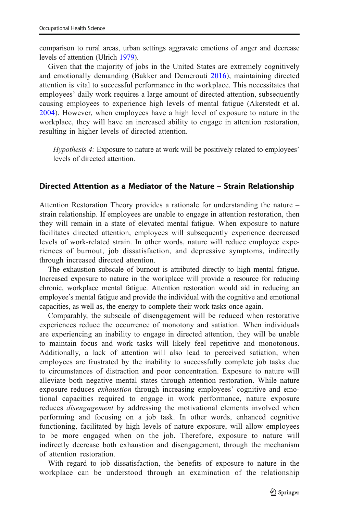comparison to rural areas, urban settings aggravate emotions of anger and decrease levels of attention (Ulrich [1979](#page-20-0)).

Given that the majority of jobs in the United States are extremely cognitively and emotionally demanding (Bakker and Demerouti [2016\)](#page-17-0), maintaining directed attention is vital to successful performance in the workplace. This necessitates that employees' daily work requires a large amount of directed attention, subsequently causing employees to experience high levels of mental fatigue (Akerstedt et al. [2004](#page-17-0)). However, when employees have a high level of exposure to nature in the workplace, they will have an increased ability to engage in attention restoration, resulting in higher levels of directed attention.

Hypothesis 4: Exposure to nature at work will be positively related to employees' levels of directed attention.

## Directed Attention as a Mediator of the Nature – Strain Relationship

Attention Restoration Theory provides a rationale for understanding the nature – strain relationship. If employees are unable to engage in attention restoration, then they will remain in a state of elevated mental fatigue. When exposure to nature facilitates directed attention, employees will subsequently experience decreased levels of work-related strain. In other words, nature will reduce employee experiences of burnout, job dissatisfaction, and depressive symptoms, indirectly through increased directed attention.

The exhaustion subscale of burnout is attributed directly to high mental fatigue. Increased exposure to nature in the workplace will provide a resource for reducing chronic, workplace mental fatigue. Attention restoration would aid in reducing an employee's mental fatigue and provide the individual with the cognitive and emotional capacities, as well as, the energy to complete their work tasks once again.

Comparably, the subscale of disengagement will be reduced when restorative experiences reduce the occurrence of monotony and satiation. When individuals are experiencing an inability to engage in directed attention, they will be unable to maintain focus and work tasks will likely feel repetitive and monotonous. Additionally, a lack of attention will also lead to perceived satiation, when employees are frustrated by the inability to successfully complete job tasks due to circumstances of distraction and poor concentration. Exposure to nature will alleviate both negative mental states through attention restoration. While nature exposure reduces *exhaustion* through increasing employees' cognitive and emotional capacities required to engage in work performance, nature exposure reduces *disengagement* by addressing the motivational elements involved when performing and focusing on a job task. In other words, enhanced cognitive functioning, facilitated by high levels of nature exposure, will allow employees to be more engaged when on the job. Therefore, exposure to nature will indirectly decrease both exhaustion and disengagement, through the mechanism of attention restoration.

With regard to job dissatisfaction, the benefits of exposure to nature in the workplace can be understood through an examination of the relationship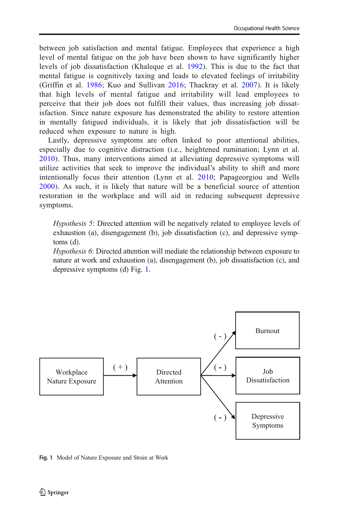between job satisfaction and mental fatigue. Employees that experience a high level of mental fatigue on the job have been shown to have significantly higher levels of job dissatisfaction (Khaleque et al. [1992](#page-19-0)). This is due to the fact that mental fatigue is cognitively taxing and leads to elevated feelings of irritability (Griffin et al. [1986](#page-18-0); Kuo and Sullivan [2016](#page-19-0); Thackray et al. [2007\)](#page-20-0). It is likely that high levels of mental fatigue and irritability will lead employees to perceive that their job does not fulfill their values, thus increasing job dissatisfaction. Since nature exposure has demonstrated the ability to restore attention in mentally fatigued individuals, it is likely that job dissatisfaction will be reduced when exposure to nature is high.

Lastly, depressive symptoms are often linked to poor attentional abilities, especially due to cognitive distraction (i.e., heightened rumination; Lynn et al. [2010](#page-19-0)). Thus, many interventions aimed at alleviating depressive symptoms will utilize activities that seek to improve the individual's ability to shift and more intentionally focus their attention (Lynn et al. [2010;](#page-19-0) Papageorgiou and Wells [2000](#page-19-0)). As such, it is likely that nature will be a beneficial source of attention restoration in the workplace and will aid in reducing subsequent depressive symptoms.

Hypothesis 5: Directed attention will be negatively related to employee levels of exhaustion (a), disengagement (b), job dissatisfaction (c), and depressive symptoms (d).

Hypothesis 6: Directed attention will mediate the relationship between exposure to nature at work and exhaustion (a), disengagement (b), job dissatisfaction (c), and depressive symptoms (d) Fig. 1.



Fig. 1 Model of Nature Exposure and Strain at Work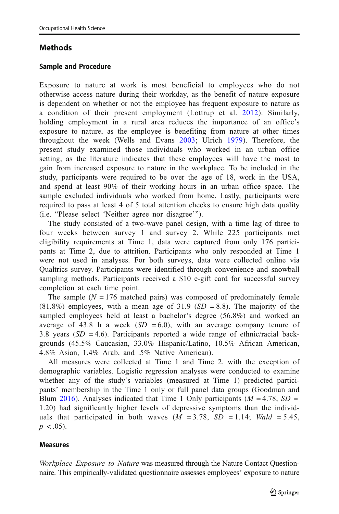# **Methods**

### Sample and Procedure

Exposure to nature at work is most beneficial to employees who do not otherwise access nature during their workday, as the benefit of nature exposure is dependent on whether or not the employee has frequent exposure to nature as a condition of their present employment (Lottrup et al. [2012](#page-19-0)). Similarly, holding employment in a rural area reduces the importance of an office's exposure to nature, as the employee is benefiting from nature at other times throughout the week (Wells and Evans [2003](#page-20-0); Ulrich [1979\)](#page-20-0). Therefore, the present study examined those individuals who worked in an urban office setting, as the literature indicates that these employees will have the most to gain from increased exposure to nature in the workplace. To be included in the study, participants were required to be over the age of 18, work in the USA, and spend at least 90% of their working hours in an urban office space. The sample excluded individuals who worked from home. Lastly, participants were required to pass at least 4 of 5 total attention checks to ensure high data quality (i.e. "Please select 'Neither agree nor disagree'").

The study consisted of a two-wave panel design, with a time lag of three to four weeks between survey 1 and survey 2. While 225 participants met eligibility requirements at Time 1, data were captured from only 176 participants at Time 2, due to attrition. Participants who only responded at Time 1 were not used in analyses. For both surveys, data were collected online via Qualtrics survey. Participants were identified through convenience and snowball sampling methods. Participants received a \$10 e-gift card for successful survey completion at each time point.

The sample  $(N = 176$  matched pairs) was composed of predominately female  $(81.8\%)$  employees, with a mean age of 31.9 (SD = 8.8). The majority of the sampled employees held at least a bachelor's degree (56.8%) and worked an average of 43.8 h a week  $(SD = 6.0)$ , with an average company tenure of 3.8 years  $(SD = 4.6)$ . Participants reported a wide range of ethnic/racial backgrounds (45.5% Caucasian, 33.0% Hispanic/Latino, 10.5% African American, 4.8% Asian, 1.4% Arab, and .5% Native American).

All measures were collected at Time 1 and Time 2, with the exception of demographic variables. Logistic regression analyses were conducted to examine whether any of the study's variables (measured at Time 1) predicted participants' membership in the Time 1 only or full panel data groups (Goodman and Blum [2016\)](#page-18-0). Analyses indicated that Time 1 Only participants ( $M = 4.78$ ,  $SD =$ 1.20) had significantly higher levels of depressive symptoms than the individuals that participated in both waves  $(M = 3.78, SD = 1.14; Wald = 5.45,$  $p < .05$ ).

## Measures

Workplace Exposure to Nature was measured through the Nature Contact Questionnaire. This empirically-validated questionnaire assesses employees' exposure to nature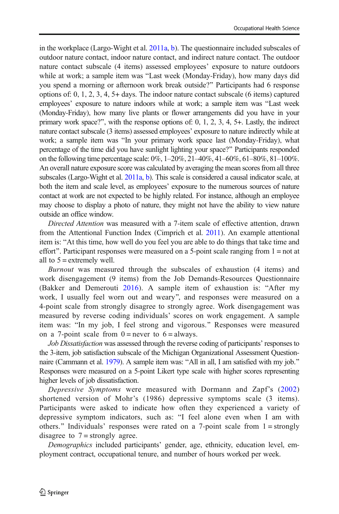in the workplace (Largo-Wight et al. [2011a](#page-19-0), [b\)](#page-19-0). The questionnaire included subscales of outdoor nature contact, indoor nature contact, and indirect nature contact. The outdoor nature contact subscale (4 items) assessed employees' exposure to nature outdoors while at work; a sample item was "Last week (Monday-Friday), how many days did you spend a morning or afternoon work break outside?^ Participants had 6 response options of: 0, 1, 2, 3, 4, 5+ days. The indoor nature contact subscale (6 items) captured employees' exposure to nature indoors while at work; a sample item was "Last week (Monday-Friday), how many live plants or flower arrangements did you have in your primary work space?", with the response options of:  $0, 1, 2, 3, 4, 5+$ . Lastly, the indirect nature contact subscale (3 items) assessed employees' exposure to nature indirectly while at work; a sample item was "In your primary work space last (Monday-Friday), what percentage of the time did you have sunlight lighting your space?^ Participants responded on the following time percentage scale: 0%, 1–20%, 21–40%, 41–60%, 61–80%, 81–100%. An overall nature exposure score was calculated by averaging the mean scores from all three subscales (Largo-Wight et al. [2011a](#page-19-0), [b\)](#page-19-0). This scale is considered a causal indicator scale, at both the item and scale level, as employees' exposure to the numerous sources of nature contact at work are not expected to be highly related. For instance, although an employee may choose to display a photo of nature, they might not have the ability to view nature outside an office window.

Directed Attention was measured with a 7-item scale of effective attention, drawn from the Attentional Function Index (Cimprich et al. [2011](#page-18-0)). An example attentional item is: "At this time, how well do you feel you are able to do things that take time and effort". Participant responses were measured on a 5-point scale ranging from  $1 =$  not at all to  $5 =$  extremely well.

Burnout was measured through the subscales of exhaustion (4 items) and work disengagement (9 items) from the Job Demands-Resources Questionnaire (Bakker and Demerouti  $2016$ ). A sample item of exhaustion is: "After my work, I usually feel worn out and weary^, and responses were measured on a 4-point scale from strongly disagree to strongly agree. Work disengagement was measured by reverse coding individuals' scores on work engagement. A sample item was: "In my job, I feel strong and vigorous." Responses were measured on a 7-point scale from  $0 =$  never to  $6 =$  always.

Job Dissatisfaction was assessed through the reverse coding of participants' responses to the 3-item, job satisfaction subscale of the Michigan Organizational Assessment Question-naire (Cammann et al. [1979\)](#page-18-0). A sample item was: "All in all, I am satisfied with my job." Responses were measured on a 5-point Likert type scale with higher scores representing higher levels of job dissatisfaction.

Depressive Symptoms were measured with Dormann and Zapf's ([2002](#page-18-0)) shortened version of Mohr's (1986) depressive symptoms scale (3 items). Participants were asked to indicate how often they experienced a variety of depressive symptom indicators, such as: "I feel alone even when I am with others." Individuals' responses were rated on a 7-point scale from  $1 =$  strongly disagree to  $7 =$  strongly agree.

Demographics included participants' gender, age, ethnicity, education level, employment contract, occupational tenure, and number of hours worked per week.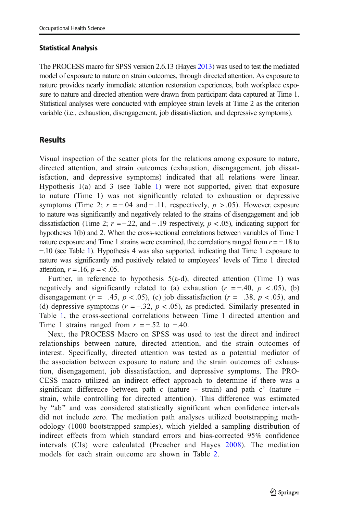#### Statistical Analysis

The PROCESS macro for SPSS version 2.6.13 (Hayes [2013](#page-19-0)) was used to test the mediated model of exposure to nature on strain outcomes, through directed attention. As exposure to nature provides nearly immediate attention restoration experiences, both workplace exposure to nature and directed attention were drawn from participant data captured at Time 1. Statistical analyses were conducted with employee strain levels at Time 2 as the criterion variable (i.e., exhaustion, disengagement, job dissatisfaction, and depressive symptoms).

# **Results**

Visual inspection of the scatter plots for the relations among exposure to nature, directed attention, and strain outcomes (exhaustion, disengagement, job dissatisfaction, and depressive symptoms) indicated that all relations were linear. Hypothesis 1(a) and 3 (see Table [1\)](#page-16-0) were not supported, given that exposure to nature (Time 1) was not significantly related to exhaustion or depressive symptoms (Time 2;  $r = -0.04$  and  $-0.11$ , respectively,  $p > 0.05$ ). However, exposure to nature was significantly and negatively related to the strains of disengagement and job dissatisfaction (Time 2;  $r = -0.22$ , and  $-0.19$  respectively,  $p < 0.05$ ), indicating support for hypotheses 1(b) and 2. When the cross-sectional correlations between variables of Time 1 nature exposure and Time 1 strains were examined, the correlations ranged from  $r = -18$  to −.10 (see Table [1\)](#page-16-0). Hypothesis 4 was also supported, indicating that Time 1 exposure to nature was significantly and positively related to employees' levels of Time 1 directed attention,  $r = .16$ ,  $p = < .05$ .

Further, in reference to hypothesis  $5(a-d)$ , directed attention (Time 1) was negatively and significantly related to (a) exhaustion ( $r = -0.40$ ,  $p < 0.05$ ), (b) disengagement ( $r = -0.45$ ,  $p < 0.05$ ), (c) job dissatisfaction ( $r = -0.38$ ,  $p < 0.05$ ), and (d) depressive symptoms ( $r = -32$ ,  $p < 0.05$ ), as predicted. Similarly presented in Table [1,](#page-16-0) the cross-sectional correlations between Time 1 directed attention and Time 1 strains ranged from  $r = -0.52$  to  $-0.40$ .

Next, the PROCESS Macro on SPSS was used to test the direct and indirect relationships between nature, directed attention, and the strain outcomes of interest. Specifically, directed attention was tested as a potential mediator of the association between exposure to nature and the strain outcomes of: exhaustion, disengagement, job dissatisfaction, and depressive symptoms. The PRO-CESS macro utilized an indirect effect approach to determine if there was a significant difference between path c (nature – strain) and path c' (nature – strain, while controlling for directed attention). This difference was estimated by "ab" and was considered statistically significant when confidence intervals did not include zero. The mediation path analyses utilized bootstrapping methodology (1000 bootstrapped samples), which yielded a sampling distribution of indirect effects from which standard errors and bias-corrected 95% confidence intervals (CIs) were calculated (Preacher and Hayes [2008](#page-20-0)). The mediation models for each strain outcome are shown in Table [2](#page-17-0).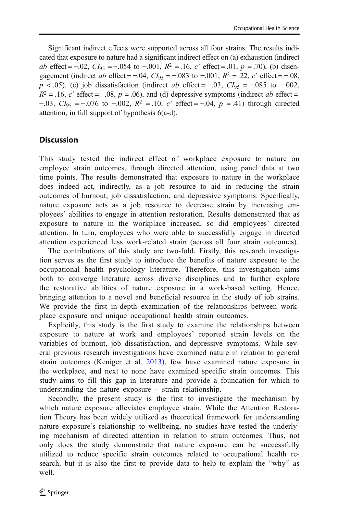Significant indirect effects were supported across all four strains. The results indicated that exposure to nature had a significant indirect effect on (a) exhaustion (indirect ab effect = -.02,  $CI_{95}$  = -.054 to -.001,  $R^2$  = .16, c' effect = .01, p = .70), (b) disengagement (indirect ab effect = −.04,  $CI_{95}$  = −.083 to −.001;  $R^2$  = .22, c' effect = −.08,  $p < .05$ ), (c) job dissatisfaction (indirect ab effect = -0.03,  $CI_{95} = -.085$  to -0.02,  $R^2 = 0.16$ , c' effect = -0.08, p = 0.06), and (d) depressive symptoms (indirect ab effect = −.03,  $CI_{95} = -0.076$  to  $-0.002$ ,  $R^2 = 0.10$ ,  $c'$  effect =  $-0.04$ ,  $p = 0.41$ ) through directed attention, in full support of hypothesis 6(a-d).

## **Discussion**

This study tested the indirect effect of workplace exposure to nature on employee strain outcomes, through directed attention, using panel data at two time points. The results demonstrated that exposure to nature in the workplace does indeed act, indirectly, as a job resource to aid in reducing the strain outcomes of burnout, job dissatisfaction, and depressive symptoms. Specifically, nature exposure acts as a job resource to decrease strain by increasing employees' abilities to engage in attention restoration. Results demonstrated that as exposure to nature in the workplace increased, so did employees' directed attention. In turn, employees who were able to successfully engage in directed attention experienced less work-related strain (across all four strain outcomes).

The contributions of this study are two-fold. Firstly, this research investigation serves as the first study to introduce the benefits of nature exposure to the occupational health psychology literature. Therefore, this investigation aims both to converge literature across diverse disciplines and to further explore the restorative abilities of nature exposure in a work-based setting. Hence, bringing attention to a novel and beneficial resource in the study of job strains. We provide the first in-depth examination of the relationships between workplace exposure and unique occupational health strain outcomes.

Explicitly, this study is the first study to examine the relationships between exposure to nature at work and employees' reported strain levels on the variables of burnout, job dissatisfaction, and depressive symptoms. While several previous research investigations have examined nature in relation to general strain outcomes (Keniger et al. [2013\)](#page-19-0), few have examined nature exposure in the workplace, and next to none have examined specific strain outcomes. This study aims to fill this gap in literature and provide a foundation for which to understanding the nature exposure – strain relationship.

Secondly, the present study is the first to investigate the mechanism by which nature exposure alleviates employee strain. While the Attention Restoration Theory has been widely utilized as theoretical framework for understanding nature exposure's relationship to wellbeing, no studies have tested the underlying mechanism of directed attention in relation to strain outcomes. Thus, not only does the study demonstrate that nature exposure can be successfully utilized to reduce specific strain outcomes related to occupational health research, but it is also the first to provide data to help to explain the "why" as well.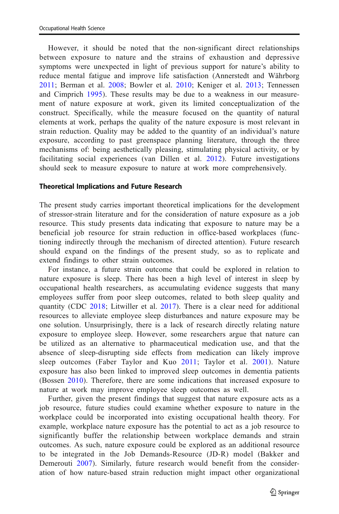However, it should be noted that the non-significant direct relationships between exposure to nature and the strains of exhaustion and depressive symptoms were unexpected in light of previous support for nature's ability to reduce mental fatigue and improve life satisfaction (Annerstedt and Währborg [2011](#page-17-0); Berman et al. [2008;](#page-17-0) Bowler et al. [2010;](#page-18-0) Keniger et al. [2013](#page-19-0); Tennessen and Cimprich [1995\)](#page-20-0). These results may be due to a weakness in our measurement of nature exposure at work, given its limited conceptualization of the construct. Specifically, while the measure focused on the quantity of natural elements at work, perhaps the quality of the nature exposure is most relevant in strain reduction. Quality may be added to the quantity of an individual's nature exposure, according to past greenspace planning literature, through the three mechanisms of: being aesthetically pleasing, stimulating physical activity, or by facilitating social experiences (van Dillen et al. [2012](#page-20-0)). Future investigations should seek to measure exposure to nature at work more comprehensively.

#### Theoretical Implications and Future Research

The present study carries important theoretical implications for the development of stressor-strain literature and for the consideration of nature exposure as a job resource. This study presents data indicating that exposure to nature may be a beneficial job resource for strain reduction in office-based workplaces (functioning indirectly through the mechanism of directed attention). Future research should expand on the findings of the present study, so as to replicate and extend findings to other strain outcomes.

For instance, a future strain outcome that could be explored in relation to nature exposure is sleep. There has been a high level of interest in sleep by occupational health researchers, as accumulating evidence suggests that many employees suffer from poor sleep outcomes, related to both sleep quality and quantity (CDC [2018;](#page-18-0) Litwiller et al. [2017\)](#page-19-0). There is a clear need for additional resources to alleviate employee sleep disturbances and nature exposure may be one solution. Unsurprisingly, there is a lack of research directly relating nature exposure to employee sleep. However, some researchers argue that nature can be utilized as an alternative to pharmaceutical medication use, and that the absence of sleep-disrupting side effects from medication can likely improve sleep outcomes (Faber Taylor and Kuo [2011;](#page-18-0) Taylor et al. [2001](#page-20-0)). Nature exposure has also been linked to improved sleep outcomes in dementia patients (Bossen [2010](#page-18-0)). Therefore, there are some indications that increased exposure to nature at work may improve employee sleep outcomes as well.

Further, given the present findings that suggest that nature exposure acts as a job resource, future studies could examine whether exposure to nature in the workplace could be incorporated into existing occupational health theory. For example, workplace nature exposure has the potential to act as a job resource to significantly buffer the relationship between workplace demands and strain outcomes. As such, nature exposure could be explored as an additional resource to be integrated in the Job Demands-Resource (JD-R) model (Bakker and Demerouti [2007\)](#page-17-0). Similarly, future research would benefit from the consideration of how nature-based strain reduction might impact other organizational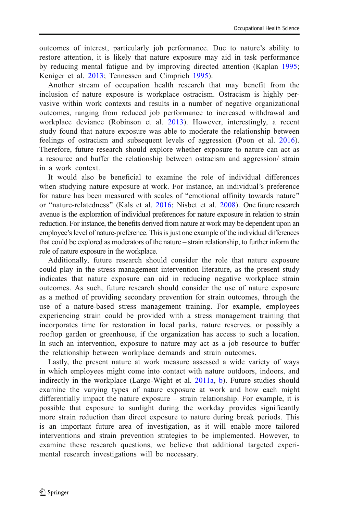outcomes of interest, particularly job performance. Due to nature's ability to restore attention, it is likely that nature exposure may aid in task performance by reducing mental fatigue and by improving directed attention (Kaplan [1995;](#page-19-0) Keniger et al. [2013](#page-19-0); Tennessen and Cimprich [1995](#page-20-0)).

Another stream of occupation health research that may benefit from the inclusion of nature exposure is workplace ostracism. Ostracism is highly pervasive within work contexts and results in a number of negative organizational outcomes, ranging from reduced job performance to increased withdrawal and workplace deviance (Robinson et al. [2013](#page-20-0)). However, interestingly, a recent study found that nature exposure was able to moderate the relationship between feelings of ostracism and subsequent levels of aggression (Poon et al. [2016\)](#page-20-0). Therefore, future research should explore whether exposure to nature can act as a resource and buffer the relationship between ostracism and aggression/ strain in a work context.

It would also be beneficial to examine the role of individual differences when studying nature exposure at work. For instance, an individual's preference for nature has been measured with scales of "emotional affinity towards nature" or "nature-relatedness" (Kals et al. [2016](#page-19-0); Nisbet et al. [2008\)](#page-19-0). One future research avenue is the exploration of individual preferences for nature exposure in relation to strain reduction. For instance, the benefits derived from nature at work may be dependent upon an employee's level of nature-preference. This is just one example of the individual differences that could be explored as moderators of the nature – strain relationship, to further inform the role of nature exposure in the workplace.

Additionally, future research should consider the role that nature exposure could play in the stress management intervention literature, as the present study indicates that nature exposure can aid in reducing negative workplace strain outcomes. As such, future research should consider the use of nature exposure as a method of providing secondary prevention for strain outcomes, through the use of a nature-based stress management training. For example, employees experiencing strain could be provided with a stress management training that incorporates time for restoration in local parks, nature reserves, or possibly a rooftop garden or greenhouse, if the organization has access to such a location. In such an intervention, exposure to nature may act as a job resource to buffer the relationship between workplace demands and strain outcomes.

Lastly, the present nature at work measure assessed a wide variety of ways in which employees might come into contact with nature outdoors, indoors, and indirectly in the workplace (Largo-Wight et al. [2011a](#page-19-0), [b\)](#page-19-0). Future studies should examine the varying types of nature exposure at work and how each might differentially impact the nature exposure – strain relationship. For example, it is possible that exposure to sunlight during the workday provides significantly more strain reduction than direct exposure to nature during break periods. This is an important future area of investigation, as it will enable more tailored interventions and strain prevention strategies to be implemented. However, to examine these research questions, we believe that additional targeted experimental research investigations will be necessary.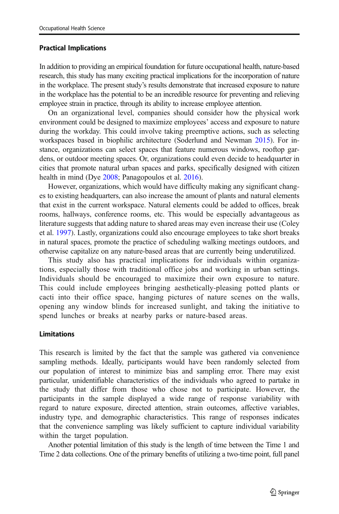#### Practical Implications

In addition to providing an empirical foundation for future occupational health, nature-based research, this study has many exciting practical implications for the incorporation of nature in the workplace. The present study's results demonstrate that increased exposure to nature in the workplace has the potential to be an incredible resource for preventing and relieving employee strain in practice, through its ability to increase employee attention.

On an organizational level, companies should consider how the physical work environment could be designed to maximize employees' access and exposure to nature during the workday. This could involve taking preemptive actions, such as selecting workspaces based in biophilic architecture (Soderlund and Newman [2015](#page-20-0)). For instance, organizations can select spaces that feature numerous windows, rooftop gardens, or outdoor meeting spaces. Or, organizations could even decide to headquarter in cities that promote natural urban spaces and parks, specifically designed with citizen health in mind (Dye [2008;](#page-18-0) Panagopoulos et al. [2016\)](#page-19-0).

However, organizations, which would have difficulty making any significant changes to existing headquarters, can also increase the amount of plants and natural elements that exist in the current workspace. Natural elements could be added to offices, break rooms, hallways, conference rooms, etc. This would be especially advantageous as literature suggests that adding nature to shared areas may even increase their use (Coley et al. [1997](#page-18-0)). Lastly, organizations could also encourage employees to take short breaks in natural spaces, promote the practice of scheduling walking meetings outdoors, and otherwise capitalize on any nature-based areas that are currently being underutilized.

This study also has practical implications for individuals within organizations, especially those with traditional office jobs and working in urban settings. Individuals should be encouraged to maximize their own exposure to nature. This could include employees bringing aesthetically-pleasing potted plants or cacti into their office space, hanging pictures of nature scenes on the walls, opening any window blinds for increased sunlight, and taking the initiative to spend lunches or breaks at nearby parks or nature-based areas.

#### Limitations

This research is limited by the fact that the sample was gathered via convenience sampling methods. Ideally, participants would have been randomly selected from our population of interest to minimize bias and sampling error. There may exist particular, unidentifiable characteristics of the individuals who agreed to partake in the study that differ from those who chose not to participate. However, the participants in the sample displayed a wide range of response variability with regard to nature exposure, directed attention, strain outcomes, affective variables, industry type, and demographic characteristics. This range of responses indicates that the convenience sampling was likely sufficient to capture individual variability within the target population.

Another potential limitation of this study is the length of time between the Time 1 and Time 2 data collections. One of the primary benefits of utilizing a two-time point, full panel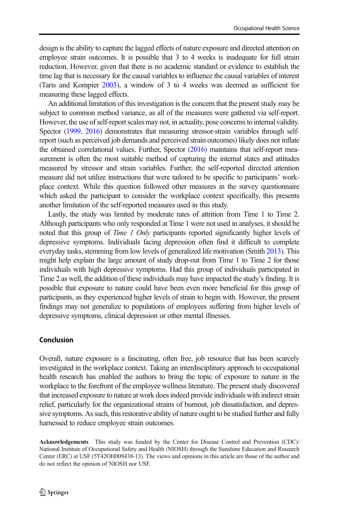design is the ability to capture the lagged effects of nature exposure and directed attention on employee strain outcomes. It is possible that 3 to 4 weeks is inadequate for full strain reduction. However, given that there is no academic standard or evidence to establish the time lag that is necessary for the causal variables to influence the causal variables of interest (Taris and Kompier [2003](#page-20-0)), a window of 3 to 4 weeks was deemed as sufficient for measuring these lagged effects.

An additional limitation of this investigation is the concern that the present study may be subject to common method variance, as all of the measures were gathered via self-report. However, the use of self-report scales may not, in actuality, pose concerns to internal validity. Spector [\(1999,](#page-20-0) [2016](#page-20-0)) demonstrates that measuring stressor-strain variables through selfreport (such as perceived job demands and perceived strain outcomes) likely does not inflate the obtained correlational values. Further, Spector [\(2016](#page-20-0)) maintains that self-report measurement is often the most suitable method of capturing the internal states and attitudes measured by stressor and strain variables. Further, the self-reported directed attention measure did not utilize instructions that were tailored to be specific to participants' workplace context. While this question followed other measures in the survey questionnaire which asked the participant to consider the workplace context specifically, this presents another limitation of the self-reported measures used in this study.

Lastly, the study was limited by moderate rates of attrition from Time 1 to Time 2. Although participants who only responded at Time 1 were not used in analyses, it should be noted that this group of *Time 1 Only* participants reported significantly higher levels of depressive symptoms. Individuals facing depression often find it difficult to complete everyday tasks, stemming from low levels of generalized life motivation (Smith [2013](#page-20-0)). This might help explain the large amount of study drop-out from Time 1 to Time 2 for those individuals with high depressive symptoms. Had this group of individuals participated in Time 2 as well, the addition of these individuals may have impacted the study's finding. It is possible that exposure to nature could have been even more beneficial for this group of participants, as they experienced higher levels of strain to begin with. However, the present findings may not generalize to populations of employees suffering from higher levels of depressive symptoms, clinical depression or other mental illnesses.

## Conclusion

Overall, nature exposure is a fascinating, often free, job resource that has been scarcely investigated in the workplace context. Taking an interdisciplinary approach to occupational health research has enabled the authors to bring the topic of exposure to nature in the workplace to the forefront of the employee wellness literature. The present study discovered that increased exposure to nature at work does indeed provide individuals with indirect strain relief, particularly for the organizational strains of burnout, job dissatisfaction, and depressive symptoms. As such, this restorative ability of nature ought to be studied further and fully harnessed to reduce employee strain outcomes.

Acknowledgements This study was funded by the Center for Disease Control and Prevention (CDC)/ National Institute of Occupational Safety and Health (NIOSH) through the Sunshine Education and Research Center (ERC) at USF (5T42OH008438-13). The views and opinions in this article are those of the author and do not reflect the opinion of NIOSH nor USF.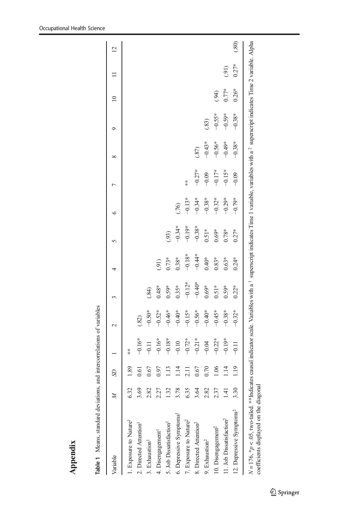<span id="page-16-0"></span>

|                                                               | SD |          | $\mathcal{L}$ | 3        |          |          | $\circ$  |          | ${}^{\circ}$ | ᢦ        | $\overline{10}$ |         | $\overline{12}$ |
|---------------------------------------------------------------|----|----------|---------------|----------|----------|----------|----------|----------|--------------|----------|-----------------|---------|-----------------|
| 6.32<br>. Exposure to Nature <sup>1</sup>                     | 89 | $*$      |               |          |          |          |          |          |              |          |                 |         |                 |
| 0.61<br>3.69<br>2. Directed Attention <sup>1</sup>            |    | $-0.16*$ | (82)          |          |          |          |          |          |              |          |                 |         |                 |
| 0.67<br>2.82<br>3. Exhaustion <sup>1</sup>                    |    | $-0.11$  | $-0.50*$      | (84)     |          |          |          |          |              |          |                 |         |                 |
| 0.97<br>2.27<br>4. Disengagement <sup>1</sup>                 |    | $-0.16*$ | $-0.52*$      | $0.48*$  | (16)     |          |          |          |              |          |                 |         |                 |
| 1.13<br>132<br>5. Job Dissatisfaction <sup>1</sup>            |    | $-0.18*$ | $-0.46*$      | $0.59*$  | $0.73*$  | (93)     |          |          |              |          |                 |         |                 |
| 1.14<br>3.78<br>6. Depressive Symptoms <sup>1</sup>           |    | $-0.10$  | $-0.40*$      | $0.35*$  | $0.38*$  | $-0.34*$ | (76)     |          |              |          |                 |         |                 |
| 2.11<br>6.35<br>7. Exposure to Nature <sup>2</sup>            |    | $-0.72*$ | $-0.15*$      | $-0.12*$ | $-0.18*$ | $-0.19*$ | $-0.13*$ | $*$      |              |          |                 |         |                 |
| 0.67<br>3.64<br>8. Directed Attention <sup>2</sup>            |    | $-0.21*$ | $-0.56*$      | $-0.40*$ | $-0.44*$ | $-0.38*$ | $-0.34*$ | $-0.27*$ | (38)         |          |                 |         |                 |
| 0.70<br>2.82<br>9. Exhaustion <sup>2</sup>                    |    | $-0.04$  | $-0.40*$      | $0.69*$  | $0.40*$  | $0.51*$  | $-0.38*$ | $-0.09$  | $-0.43*$     | (.83)    |                 |         |                 |
| 0.06<br>2.37<br>10. Disengagement <sup>2</sup>                |    | $-0.22*$ | $-0.45*$      | $0.51*$  | $0.83*$  | $0.69*$  | $-0.32*$ | $-0.17*$ | $-0.56*$     | $-0.55*$ | (94)            |         |                 |
| 1.14<br>$\frac{1}{4}$<br>11. Job Dissatisfaction <sup>2</sup> |    | $-0.19*$ | $-0.38*$      | $0.59*$  | $0.63*$  | $0.78*$  | $-0.29*$ | $-0.15*$ | $-0.49*$     | $-0.59*$ | $0.77*$         | (91)    |                 |
| 1.19<br>3.30<br>12. Depressive Symptoms <sup>2</sup>          |    | $-0.11$  | $-0.32*$      | $0.22*$  | $0.24*$  | $0.27*$  | $-0.79*$ | $-0.09$  | $-0.38*$     | $-0.38*$ | $0.26*$         | $0.27*$ | (.80)           |

Table 1 Means, standard deviations, and intercorrelations of variables Table 1 Means, standard deviations, and intercorrelations of variables

Appendix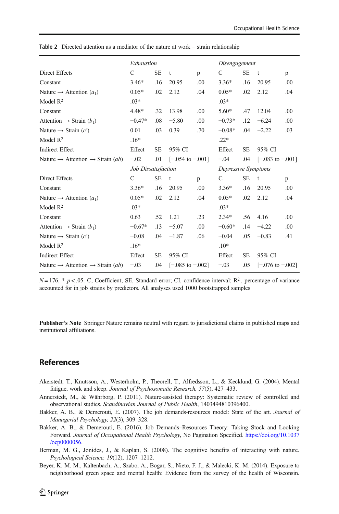| Exhaustion    |           |         |                     |                                                            |           |         |                                                                                                    |
|---------------|-----------|---------|---------------------|------------------------------------------------------------|-----------|---------|----------------------------------------------------------------------------------------------------|
| $\mathsf{C}$  | <b>SE</b> | t       | p                   | C                                                          | <b>SE</b> | t       | p                                                                                                  |
| $3.46*$       | .16       | 20.95   | .00                 | $3.36*$                                                    | .16       | 20.95   | .00                                                                                                |
| $0.05*$       | .02       | 2.12    | .04                 | $0.05*$                                                    | .02       | 2.12    | .04                                                                                                |
| $.03*$        |           |         |                     | $.03*$                                                     |           |         |                                                                                                    |
| $4.48*$       | .32       | 13.98   | .00                 | $5.60*$                                                    | .47       | 12.04   | .00                                                                                                |
| $-0.47*$      | .08       | $-5.80$ | .00                 | $-0.73*$                                                   | .12       | $-6.24$ | .00                                                                                                |
| 0.01          | .03       | 0.39    | .70                 | $-0.08*$                                                   | .04       | $-2.22$ | .03                                                                                                |
| $.16*$        |           |         |                     | $.22*$                                                     |           |         |                                                                                                    |
| Effect        | <b>SE</b> | 95% CI  |                     | Effect                                                     | <b>SE</b> | 95% CI  |                                                                                                    |
| $-.02$        | .01       |         |                     | $-.04$                                                     | .04       |         |                                                                                                    |
|               |           |         |                     |                                                            |           |         |                                                                                                    |
| $\mathcal{C}$ | <b>SE</b> | t       | p                   | $\mathcal{C}$                                              | <b>SE</b> | t       | p                                                                                                  |
| $3.36*$       | .16       | 20.95   | .00                 | $3.36*$                                                    | .16       | 20.95   | .00                                                                                                |
| $0.05*$       | .02       | 2.12    | .04                 | $0.05*$                                                    | .02       | 2.12    | .04                                                                                                |
| $.03*$        |           |         |                     | $.03*$                                                     |           |         |                                                                                                    |
| 0.63          | .52       | 1.21    | .23                 | $2.34*$                                                    | .56       | 4.16    | .00                                                                                                |
| $-0.67*$      | .13       | $-5.07$ | .00                 | $-0.60*$                                                   | .14       | $-4.22$ | .00                                                                                                |
| $-0.08$       | .04       | $-1.87$ | .06                 | $-0.04$                                                    | .05       | $-0.83$ | .41                                                                                                |
| $.16*$        |           |         |                     | $.10*$                                                     |           |         |                                                                                                    |
| Effect        | <b>SE</b> | 95% CI  |                     | Effect                                                     | <b>SE</b> | 95% CI  |                                                                                                    |
| $-.03$        | .04       |         |                     | $-.03$                                                     | .05       |         |                                                                                                    |
|               |           |         | Job Dissatisfaction | $[-.054 \text{ to } -.001]$<br>$[-.085 \text{ to } -.002]$ |           |         | Disengagement<br>$[-.083 \text{ to } -.001]$<br>Depressive Symptoms<br>$[-.076 \text{ to } -.002]$ |

<span id="page-17-0"></span>Table 2 Directed attention as a mediator of the nature at work – strain relationship

 $N = 176$ , \*  $p < .05$ . C, Coefficient; SE, Standard error; CI, confidence interval; R<sup>2</sup>, percentage of variance accounted for in job strains by predictors. All analyses used 1000 bootstrapped samples

Publisher's Note Springer Nature remains neutral with regard to jurisdictional claims in published maps and institutional affiliations.

## References

- Akerstedt, T., Knutsson, A., Westerholm, P., Theorell, T., Alfredsson, L., & Kecklund, G. (2004). Mental fatigue, work and sleep. Journal of Psychosomatic Research, 57(5), 427–433.
- Annerstedt, M., & Währborg, P. (2011). Nature-assisted therapy: Systematic review of controlled and observational studies. Scandinavian Journal of Public Health, 1403494810396400.
- Bakker, A. B., & Demerouti, E. (2007). The job demands-resources model: State of the art. *Journal of* Managerial Psychology, 22(3), 309–328.
- Bakker, A. B., & Demerouti, E. (2016). Job Demands–Resources Theory: Taking Stock and Looking Forward. Journal of Occupational Health Psychology, No Pagination Specified. [https://doi.org/10.1037](https://doi.org/10.1037/ocp0000056) [/ocp0000056](https://doi.org/10.1037/ocp0000056).
- Berman, M. G., Jonides, J., & Kaplan, S. (2008). The cognitive benefits of interacting with nature. Psychological Science, 19(12), 1207–1212.
- Beyer, K. M. M., Kaltenbach, A., Szabo, A., Bogar, S., Nieto, F. J., & Malecki, K. M. (2014). Exposure to neighborhood green space and mental health: Evidence from the survey of the health of Wisconsin.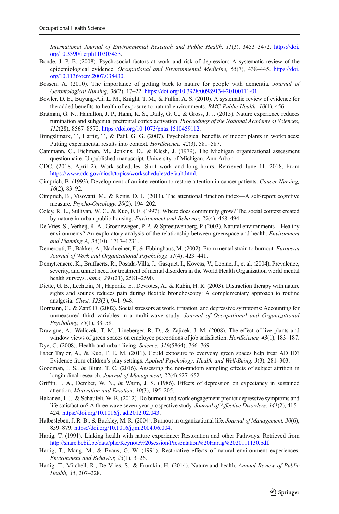<span id="page-18-0"></span>International Journal of Environmental Research and Public Health, 11(3), 3453–3472. [https://doi.](https://doi.org/10.3390/ijerph110303453) [org/10.3390/ijerph110303453.](https://doi.org/10.3390/ijerph110303453)

- Bonde, J. P. E. (2008). Psychosocial factors at work and risk of depression: A systematic review of the epidemiological evidence. Occupational and Environmental Medicine, 65(7), 438-445. [https://doi.](https://doi.org/10.1136/oem.2007.038430) [org/10.1136/oem.2007.038430.](https://doi.org/10.1136/oem.2007.038430)
- Bossen, A. (2010). The importance of getting back to nature for people with dementia. Journal of Gerontological Nursing, 36(2), 17–22. [https://doi.org/10.3928/00989134-20100111-01.](https://doi.org/10.3928/00989134-20100111-01)
- Bowler, D. E., Buyung-Ali, L. M., Knight, T. M., & Pullin, A. S. (2010). A systematic review of evidence for the added benefits to health of exposure to natural environments. BMC Public Health, 10(1), 456.
- Bratman, G. N., Hamilton, J. P., Hahn, K. S., Daily, G. C., & Gross, J. J. (2015). Nature experience reduces rumination and subgenual prefrontal cortex activation. Proceedings of the National Academy of Sciences, 112(28), 8567–8572. [https://doi.org/10.1073/pnas.1510459112.](https://doi.org/10.1073/pnas.1510459112)
- Bringslimark, T., Hartig, T., & Patil, G. G. (2007). Psychological benefits of indoor plants in workplaces: Putting experimental results into context. HortScience, 42(3), 581–587.
- Cammann, C., Fichman, M., Jenkins, D., & Klesh, J. (1979). The Michigan organizational assessment questionnaire. Unpublished manuscript, University of Michigan, Ann Arbor.
- CDC. (2018, April 2). Work schedules: Shift work and long hours. Retrieved June 11, 2018, From [https://www.cdc.gov/niosh/topics/workschedules/default.html.](https://www.cdc.gov/niosh/topics/workschedules/default.html)
- Cimprich, B. (1993). Development of an intervention to restore attention in cancer patients. Cancer Nursing, 16(2), 83–92.
- Cimprich, B., Visovatti, M., & Ronis, D. L. (2011). The attentional function index—A self-report cognitive measure. Psycho-Oncology, 20(2), 194–202.
- Coley, R. L., Sullivan, W. C., & Kuo, F. E. (1997). Where does community grow? The social context created by nature in urban public housing. Environment and Behavior, 29(4), 468–494.
- De Vries, S., Verheij, R. A., Groenewegen, P. P., & Spreeuwenberg, P. (2003). Natural environments—Healthy environments? An exploratory analysis of the relationship between greenspace and health. *Environment* and Planning A, 35(10), 1717–1731.
- Demerouti, E., Bakker, A., Nachreiner, F., & Ebbinghaus, M. (2002). From mental strain to burnout. European Journal of Work and Organizational Psychology, 11(4), 423–441.
- Demyttenaere, K., Bruffaerts, R., Posada-Villa, J., Gasquet, I., Kovess, V., Lepine, J., et al. (2004). Prevalence, severity, and unmet need for treatment of mental disorders in the World Health Organization world mental health surveys. Jama, 291(21), 2581–2590.
- Diette, G. B., Lechtzin, N., Haponik, E., Devrotes, A., & Rubin, H. R. (2003). Distraction therapy with nature sights and sounds reduces pain during flexible bronchoscopy: A complementary approach to routine analgesia. Chest, 123(3), 941–948.
- Dormann, C., & Zapf, D. (2002). Social stressors at work, irritation, and depressive symptoms: Accounting for unmeasured third variables in a multi-wave study. Journal of Occupational and Organizational Psychology, 75(1), 33–58.
- Dravigne, A., Waliczek, T. M., Lineberger, R. D., & Zajicek, J. M. (2008). The effect of live plants and window views of green spaces on employee perceptions of job satisfaction. HortScience, 43(1), 183-187.
- Dye, C. (2008). Health and urban living. Science, 319(5864), 766–769.
- Faber Taylor, A., & Kuo, F. E. M. (2011). Could exposure to everyday green spaces help treat ADHD? Evidence from children's play settings. Applied Psychology: Health and Well-Being, 3(3), 281–303.
- Goodman, J. S., & Blum, T. C. (2016). Assessing the non-random sampling effects of subject attrition in longitudinal research. Journal of Management, 22(4):627–652.
- Griffin, J. A., Dember, W. N., & Warm, J. S. (1986). Effects of depression on expectancy in sustained attention. Motivation and Emotion, 10(3), 195–205.
- Hakanen, J. J., & Schaufeli, W. B. (2012). Do burnout and work engagement predict depressive symptoms and life satisfaction? A three-wave seven-year prospective study. Journal of Affective Disorders, 141(2), 415– 424. [https://doi.org/10.1016/j.jad.2012.02.043.](https://doi.org/10.1016/j.jad.2012.02.043)
- Halbesleben, J. R. B., & Buckley, M. R. (2004). Burnout in organizational life. Journal of Management, 30(6), 859–879. [https://doi.org/10.1016/j.jm.2004.06.004.](https://doi.org/10.1016/j.jm.2004.06.004)
- Hartig, T. (1991). Linking health with nature experience: Restoration and other Pathways. Retrieved from [http://share.bebif.be/data/phc/Keynote%20session/Presentation%20Hartig%2020111130.pdf.](http://share.bebif.be/data/phc/Keynote%20session/Presentation%20Hartig%2020111130.pdf)
- Hartig, T., Mang, M., & Evans, G. W. (1991). Restorative effects of natural environment experiences. Environment and Behavior, 23(1), 3–26.
- Hartig, T., Mitchell, R., De Vries, S., & Frumkin, H. (2014). Nature and health. Annual Review of Public Health, 35, 207–228.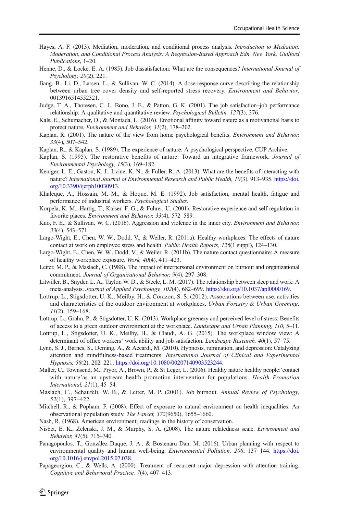- <span id="page-19-0"></span>Hayes, A. F. (2013). Mediation, moderation, and conditional process analysis. Introduction to Mediation, Moderation, and Conditional Process Analysis: A Regression-Based Approach Edn. New York: Guilford Publications, 1–20.
- Henne, D., & Locke, E. A. (1985). Job dissatisfaction: What are the consequences? International Journal of Psychology, 20(2), 221.
- Jiang, B., Li, D., Larsen, L., & Sullivan, W. C. (2014). A dose-response curve describing the relationship between urban tree cover density and self-reported stress recovery. Environment and Behavior, 0013916514552321.
- Judge, T. A., Thoresen, C. J., Bono, J. E., & Patton, G. K. (2001). The job satisfaction–job performance relationship: A qualitative and quantitative review. Psychological Bulletin, 127(3), 376.
- Kals, E., Schumacher, D., & Montada, L. (2016). Emotional affinity toward nature as a motivational basis to protect nature. Environment and Behavior, 31(2), 178–202.
- Kaplan, R. (2001). The nature of the view from home psychological benefits. *Environment and Behavior*, 33(4), 507–542.
- Kaplan, R., & Kaplan, S. (1989). The experience of nature: A psychological perspective. CUP Archive.
- Kaplan, S. (1995). The restorative benefits of nature: Toward an integrative framework. Journal of Environmental Psychology, 15(3), 169–182.
- Keniger, L. E., Gaston, K. J., Irvine, K. N., & Fuller, R. A. (2013). What are the benefits of interacting with nature? International Journal of Environmental Research and Public Health, 10(3), 913–935. [https://doi.](https://doi.org/10.3390/ijerph10030913) [org/10.3390/ijerph10030913](https://doi.org/10.3390/ijerph10030913).
- Khaleque, A., Hossain, M. M., & Hoque, M. E. (1992). Job satisfaction, mental health, fatigue and performance of industrial workers. Psychological Studies.
- Korpela, K. M., Hartig, T., Kaiser, F. G., & Fuhrer, U. (2001). Restorative experience and self-regulation in favorite places. Environment and Behavior, 33(4), 572–589.
- Kuo, F. E., & Sullivan, W. C. (2016). Aggression and violence in the inner city. *Environment and Behavior*, 33(4), 543–571.
- Largo-Wight, E., Chen, W. W., Dodd, V., & Weiler, R. (2011a). Healthy workplaces: The effects of nature contact at work on employee stress and health. Public Health Reports, 126(1 suppl), 124–130.
- Largo-Wight, E., Chen, W. W., Dodd, V., & Weiler, R. (2011b). The nature contact questionnaire: A measure of healthy workplace exposure. Work, 40(4), 411–423.
- Leiter, M. P., & Maslach, C. (1988). The impact of interpersonal environment on burnout and organizational commitment. Journal of Organizational Behavior, 9(4), 297–308.
- Litwiller, B., Snyder, L. A., Taylor, W. D., & Steele, L. M. (2017). The relationship between sleep and work: A meta-analysis. Journal of Applied Psychology, 102(4), 682–699. [https://doi.org/10.1037/apl0000169.](https://doi.org/10.1037/apl0000169)
- Lottrup, L., Stigsdotter, U. K., Meilby, H., & Corazon, S. S. (2012). Associations between use, activities and characteristics of the outdoor environment at workplaces. Urban Forestry & Urban Greening,  $11(2)$ , 159-168.
- Lottrup, L., Grahn, P., & Stigsdotter, U. K. (2013). Workplace greenery and perceived level of stress: Benefits of access to a green outdoor environment at the workplace. Landscape and Urban Planning, 110, 5–11.
- Lottrup, L., Stigsdotter, U. K., Meilby, H., & Claudi, A. G. (2015). The workplace window view: A determinant of office workers' work ability and job satisfaction. *Landscape Research*, 40(1), 57–75.
- Lynn, S. J., Barnes, S., Deming, A., & Accardi, M. (2010). Hypnosis, rumination, and depression: Catalyzing attention and mindfulness-based treatments. International Journal of Clinical and Experimental Hypnosis, 58(2), 202–221. [https://doi.org/10.1080/00207140903523244.](https://doi.org/10.1080/00207140903523244)
- Maller, C., Townsend, M., Pryor, A., Brown, P., & St Leger, L. (2006). Healthy nature healthy people:'contact with nature'as an upstream health promotion intervention for populations. Health Promotion International, 21(1), 45–54.
- Maslach, C., Schaufeli, W. B., & Leiter, M. P. (2001). Job burnout. Annual Review of Psychology, 52(1), 397–422.
- Mitchell, R., & Popham, F. (2008). Effect of exposure to natural environment on health inequalities: An observational population study. The Lancet, 372(9650), 1655–1660.
- Nash, R. (1968). American environment; readings in the history of conservation.
- Nisbet, E. K., Zelenski, J. M., & Murphy, S. A. (2008). The nature relatedness scale. Environment and Behavior, 41(5), 715–740.
- Panagopoulos, T., González Duque, J. A., & Bostenaru Dan, M. (2016). Urban planning with respect to environmental quality and human well-being. Environmental Pollution, 208, 137–144. [https://doi.](https://doi.org/10.1016/j.envpol.2015.07.038) [org/10.1016/j.envpol.2015.07.038.](https://doi.org/10.1016/j.envpol.2015.07.038)
- Papageorgiou, C., & Wells, A. (2000). Treatment of recurrent major depression with attention training. Cognitive and Behavioral Practice, 7(4), 407–413.